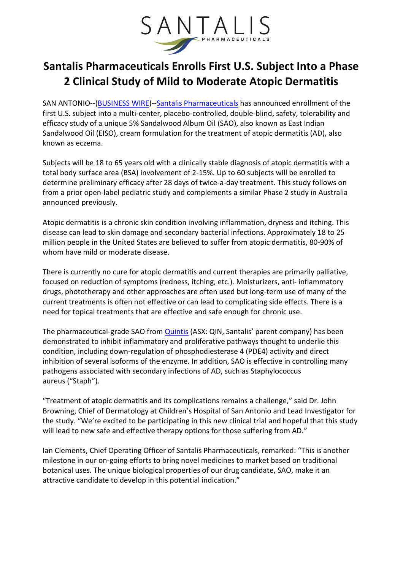

## Santalis Pharmaceuticals Enrolls First U.S. Subject Into a Phase 2 Clinical Study of Mild to Moderate Atopic Dermatitis

SAN ANTONIO--(BUSINESS WIRE)--Santalis Pharmaceuticals has announced enrollment of the first U.S. subject into a multi-center, placebo-controlled, double-blind, safety, tolerability and efficacy study of a unique 5% Sandalwood Album Oil (SAO), also known as East Indian Sandalwood Oil (EISO), cream formulation for the treatment of atopic dermatitis (AD), also known as eczema.

Subjects will be 18 to 65 years old with a clinically stable diagnosis of atopic dermatitis with a total body surface area (BSA) involvement of 2-15%. Up to 60 subjects will be enrolled to determine preliminary efficacy after 28 days of twice-a-day treatment. This study follows on from a prior open-label pediatric study and complements a similar Phase 2 study in Australia announced previously.

Atopic dermatitis is a chronic skin condition involving inflammation, dryness and itching. This disease can lead to skin damage and secondary bacterial infections. Approximately 18 to 25 million people in the United States are believed to suffer from atopic dermatitis, 80-90% of whom have mild or moderate disease.

There is currently no cure for atopic dermatitis and current therapies are primarily palliative, focused on reduction of symptoms (redness, itching, etc.). Moisturizers, anti- inflammatory drugs, phototherapy and other approaches are often used but long-term use of many of the current treatments is often not effective or can lead to complicating side effects. There is a need for topical treatments that are effective and safe enough for chronic use.

The pharmaceutical-grade SAO from Quintis (ASX: QIN, Santalis' parent company) has been demonstrated to inhibit inflammatory and proliferative pathways thought to underlie this condition, including down-regulation of phosphodiesterase 4 (PDE4) activity and direct inhibition of several isoforms of the enzyme. In addition, SAO is effective in controlling many pathogens associated with secondary infections of AD, such as Staphylococcus aureus ("Staph").

"Treatment of atopic dermatitis and its complications remains a challenge," said Dr. John Browning, Chief of Dermatology at Children's Hospital of San Antonio and Lead Investigator for the study. "We're excited to be participating in this new clinical trial and hopeful that this study will lead to new safe and effective therapy options for those suffering from AD."

Ian Clements, Chief Operating Officer of Santalis Pharmaceuticals, remarked: "This is another milestone in our on-going efforts to bring novel medicines to market based on traditional botanical uses. The unique biological properties of our drug candidate, SAO, make it an attractive candidate to develop in this potential indication."